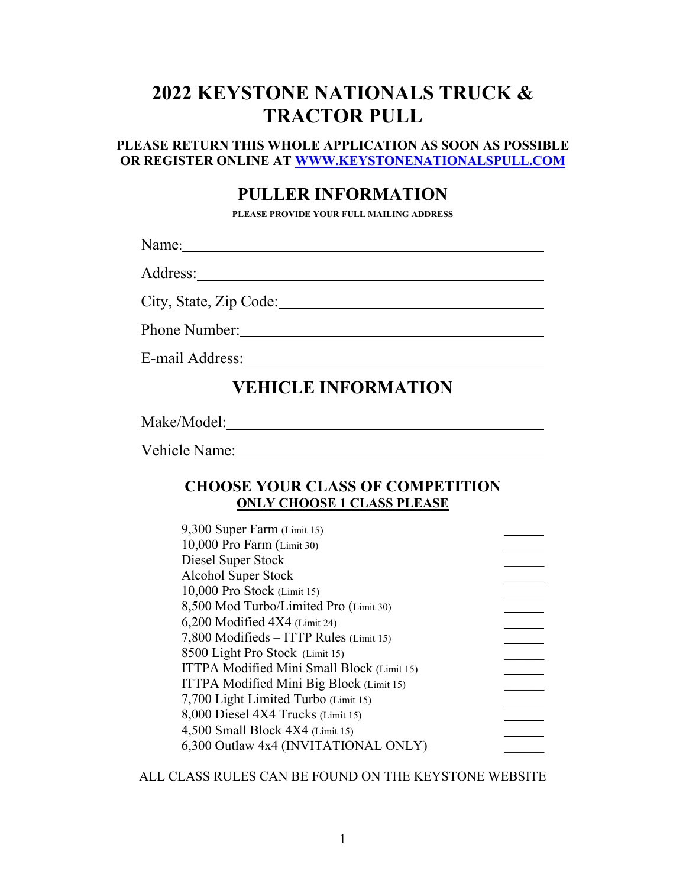# **2022 KEYSTONE NATIONALS TRUCK & TRACTOR PULL**

#### **PLEASE RETURN THIS WHOLE APPLICATION AS SOON AS POSSIBLE OR REGISTER ONLINE AT [WWW.KEYSTONENATIONALSPULL.COM](http://www.keystonenationalspull.com/)**

#### **PULLER INFORMATION**

**PLEASE PROVIDE YOUR FULL MAILING ADDRESS**

Name: Name:

Address:

City, State, Zip Code:

Phone Number: New York Channels and Channels and Channels and Channels and Channels and Channels and Channels and Channels and Channels and Channels and Channels and Channels and Channels and Channels and Channels and Chan

E-mail Address:

## **VEHICLE INFORMATION**

Make/Model:

Vehicle Name:

#### **CHOOSE YOUR CLASS OF COMPETITION ONLY CHOOSE 1 CLASS PLEASE**

| 9,300 Super Farm (Limit 15)                |  |
|--------------------------------------------|--|
| 10,000 Pro Farm (Limit 30)                 |  |
| Diesel Super Stock                         |  |
| Alcohol Super Stock                        |  |
| 10,000 Pro Stock (Limit 15)                |  |
| 8,500 Mod Turbo/Limited Pro (Limit 30)     |  |
| $6,200$ Modified $4X4$ (Limit 24)          |  |
| 7,800 Modifieds - ITTP Rules (Limit 15)    |  |
| 8500 Light Pro Stock (Limit 15)            |  |
| ITTPA Modified Mini Small Block (Limit 15) |  |
| ITTPA Modified Mini Big Block (Limit 15)   |  |
| 7,700 Light Limited Turbo (Limit 15)       |  |
| 8,000 Diesel 4X4 Trucks (Limit 15)         |  |
| $4,500$ Small Block $4X4$ (Limit 15)       |  |
| 6,300 Outlaw 4x4 (INVITATIONAL ONLY)       |  |
|                                            |  |

ALL CLASS RULES CAN BE FOUND ON THE KEYSTONE WEBSITE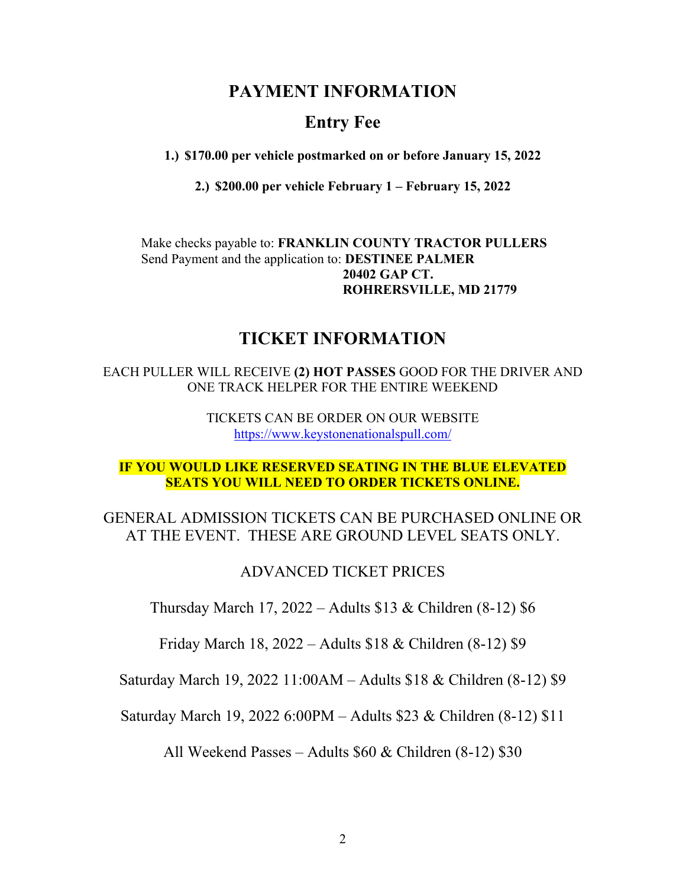### **PAYMENT INFORMATION**

### **Entry Fee**

**1.) \$170.00 per vehicle postmarked on or before January 15, 2022**

**2.) \$200.00 per vehicle February 1 – February 15, 2022**

Make checks payable to: **FRANKLIN COUNTY TRACTOR PULLERS** Send Payment and the application to: **DESTINEE PALMER 20402 GAP CT. ROHRERSVILLE, MD 21779**

#### **TICKET INFORMATION**

EACH PULLER WILL RECEIVE **(2) HOT PASSES** GOOD FOR THE DRIVER AND ONE TRACK HELPER FOR THE ENTIRE WEEKEND

> TICKETS CAN BE ORDER ON OUR WEBSITE <https://www.keystonenationalspull.com/>

#### **IF YOU WOULD LIKE RESERVED SEATING IN THE BLUE ELEVATED SEATS YOU WILL NEED TO ORDER TICKETS ONLINE.**

#### GENERAL ADMISSION TICKETS CAN BE PURCHASED ONLINE OR AT THE EVENT. THESE ARE GROUND LEVEL SEATS ONLY.

#### ADVANCED TICKET PRICES

Thursday March 17, 2022 – Adults \$13 & Children (8-12) \$6

Friday March 18, 2022 – Adults \$18 & Children (8-12) \$9

Saturday March 19, 2022 11:00AM – Adults \$18 & Children (8-12) \$9

Saturday March 19, 2022 6:00PM – Adults \$23 & Children (8-12) \$11

All Weekend Passes – Adults \$60 & Children (8-12) \$30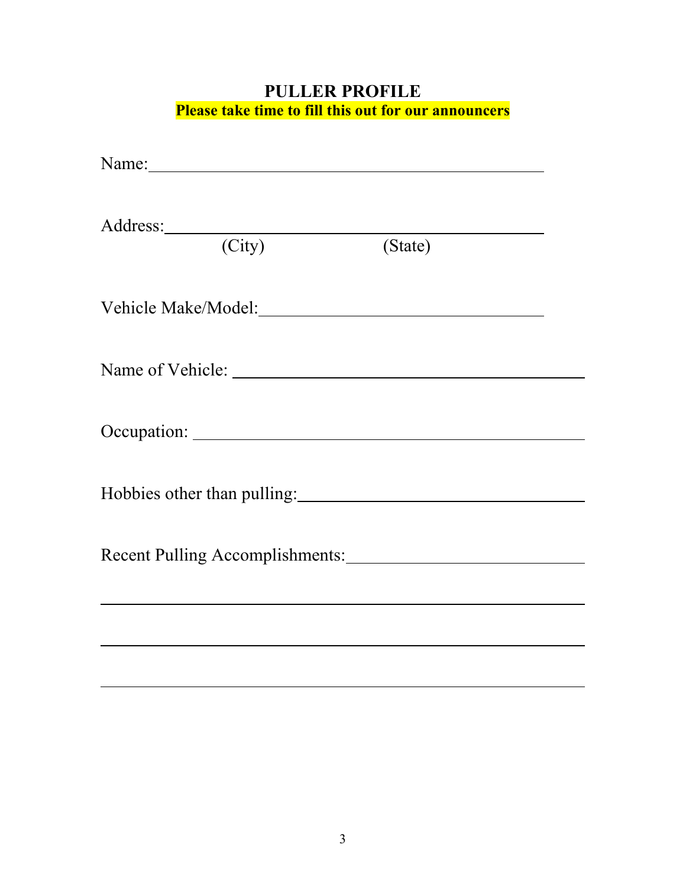## **PULLER PROFILE Please take time to fill this out for our announcers**

| Address: Andreas Address: Address: Address: Address: Address: Address: Address: Address: Address: Address: Address: Address: Address: Address: Address: Address: Address: Address: Address: Address: Address: Address: Address<br>(City) (State) |  |
|--------------------------------------------------------------------------------------------------------------------------------------------------------------------------------------------------------------------------------------------------|--|
|                                                                                                                                                                                                                                                  |  |
|                                                                                                                                                                                                                                                  |  |
|                                                                                                                                                                                                                                                  |  |
|                                                                                                                                                                                                                                                  |  |
| Recent Pulling Accomplishments:                                                                                                                                                                                                                  |  |
|                                                                                                                                                                                                                                                  |  |
|                                                                                                                                                                                                                                                  |  |